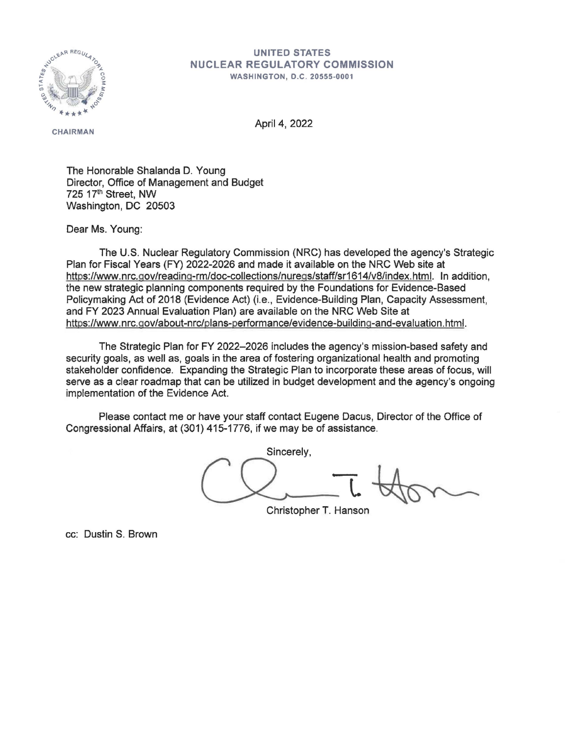

## **UNITED STATES NUCLEAR REGULATORY COMMISSION**

**WASHINGTON , D.C. 20555-0001** 

**CHAIRMAN** 

April 4, 2022

The Honorable Shalanda D. Young Director, Office of Management and Budget 725 17th Street, NW Washington, DC 20503

Dear Ms. Young:

The U.S. Nuclear Regulatory Commission (NRC) has developed the agency's Strategic Plan for Fiscal Years (FY) 2022-2026 and made it available on the NRC Web site at https://www.nrc.gov/reading-rm/doc-collections/nuregs/staff/sr1614/v8/index.html. In addition, the new strategic planning components required by the Foundations for Evidence-Based Policymaking Act of 2018 (Evidence Act) (i.e., Evidence-Building Plan, Capacity Assessment, and FY 2023 Annual Evaluation Plan) are available on the NRC Web Site at https://www. nrc. qov/about-nrc/olans-performance/evidence-buildinq-and-evaluation. html.

The Strategic Plan for FY 2022-2026 includes the agency's mission-based safety and security goals, as well as, goals in the area of fostering organizational health and promoting stakeholder confidence. Expanding the Strategic Plan to incorporate these areas of focus, will serve as a clear roadmap that can be utilized in budget development and the agency's ongoing implementation of the Evidence Act.

Please contact me or have your staff contact Eugene Dacus, Director of the Office of Congressional Affairs, at (301) 415-1776, if we may be of assistance.

Sincerely, -**L** 

Christopher **T.** Hanson

cc: Dustin S. Brown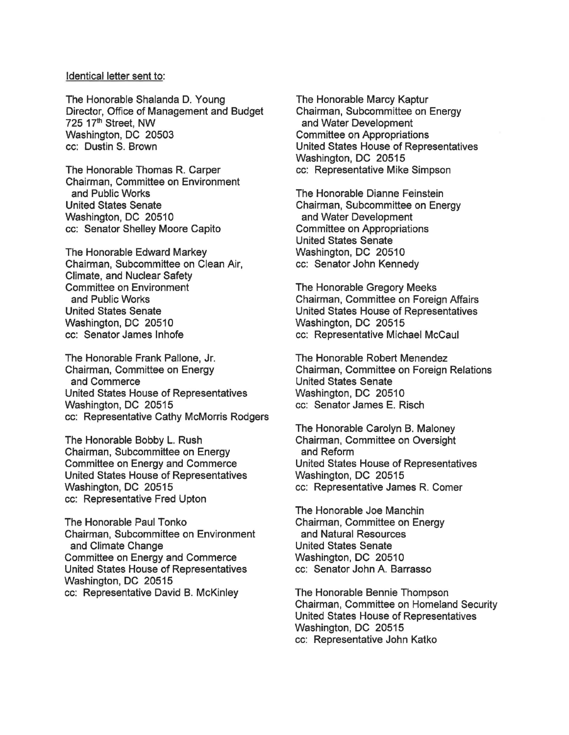## Identical letter sent to:

The Honorable Shalanda D. Young Director, Office of Management and Budget 725 17<sup>th</sup> Street, NW Washington, DC 20503 cc: Dustin S. Brown

The Honorable Thomas R. Carper Chairman, Committee on Environment and Public Works United States Senate Washington, DC 20510 cc: Senator Shelley Moore Capito

The Honorable Edward Markey Chairman, Subcommittee on Clean Air, Climate, and Nuclear Safety Committee on Environment and Public Works United States Senate Washington, DC 20510 cc: Senator James lnhofe

The Honorable Frank Pallone, Jr. Chairman, Committee on Energy and Commerce United States House of Representatives Washington, DC 20515 cc: Representative Cathy McMorris Rodgers

The Honorable Bobby L. Rush Chairman, Subcommittee on Energy Committee on Energy and Commerce United States House of Representatives Washington, DC 20515 cc: Representative Fred Upton

The Honorable Paul Tonko Chairman, Subcommittee on Environment and Climate Change Committee on Energy and Commerce United States House of Representatives Washington, DC 20515 cc: Representative David B. McKinley

The Honorable Marcy Kaptur Chairman, Subcommittee on Energy and Water Development Committee on Appropriations United States House of Representatives Washington, DC 20515 cc: Representative Mike Simpson

The Honorable Dianne Feinstein Chairman, Subcommittee on Energy and Water Development Committee on Appropriations United States Senate Washington, DC 20510 cc: Senator John Kennedy

The Honorable Gregory Meeks Chairman, Committee on Foreign Affairs United States House of Representatives Washington, DC 20515 cc: Representative Michael Mccaul

The Honorable Robert Menendez Chairman, Committee on Foreign Relations United States Senate Washington, DC 20510 cc: Senator James E. Risch

The Honorable Carolyn B. Maloney Chairman, Committee on Oversight and Reform United States House of Representatives Washington, DC 20515 cc: Representative James R. Comer

The Honorable Joe Manchin Chairman, Committee on Energy and Natural Resources United States Senate Washington, DC 20510 cc: Senator John A. Barrasso

The Honorable Bennie Thompson Chairman, Committee on Homeland Security United States House of Representatives Washington, DC 20515 cc: Representative John Katke